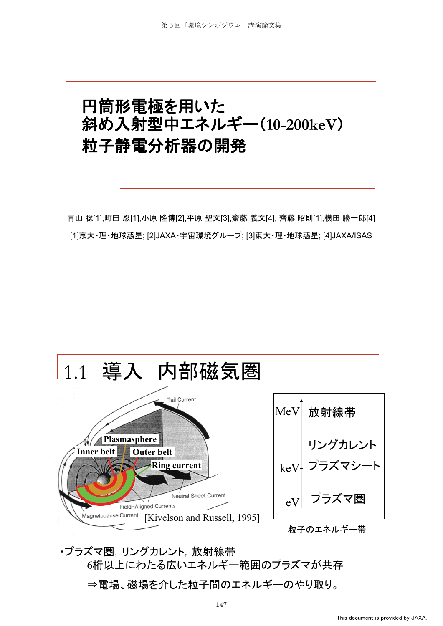#### 円筒形電極を用いた 斜め入射型中エネルギー(10-200keV) 粒子静電分析器の開発

青山 聡[1];町田 忍[1];小原 隆博[2];平原 聖文[3];齋藤 義文[4]; 齊藤 昭則[1];横田 勝一郎[4] [1]京大·理·地球惑星; [2]JAXA·宇宙環境グループ; [3]東大·理·地球惑星; [4]JAXA/ISAS



• プラズマ圏. リングカレント. 放射線帯 6桁以上にわたる広いエネルギー範囲のプラズマが共存 ⇒電場、磁場を介した粒子間のエネルギーのやり取り。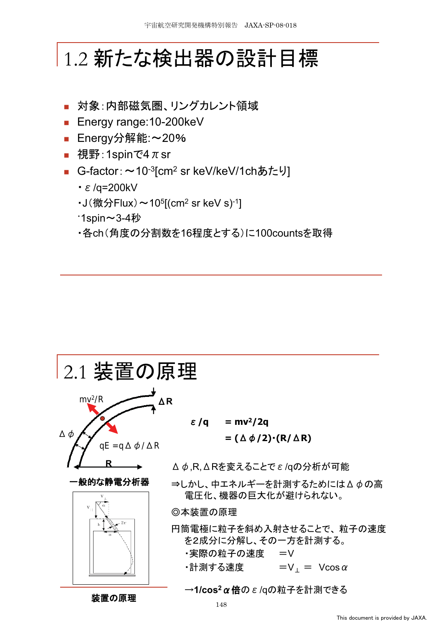### |1.2 新たな検出器の設計目標

- 対象:内部磁気圏、リングカレント領域
- Energy range:10-200keV
- Energy分解能:~20%
- 視野:1spinで4 $\pi$ sr
- G-factor: ~10<sup>-3</sup>[cm<sup>2</sup> sr keV/keV/1chあたり]
	- $\cdot \varepsilon$ /q=200kV
	- $J$  $(\n$  微分 Flux $)$   $\sim$  10<sup>5</sup> [(cm<sup>2</sup> sr keV s)<sup>-1</sup>]
	- **1spin∼3-4秒**
	- ・各ch(角度の分割数を16程度とする)に100countsを取得

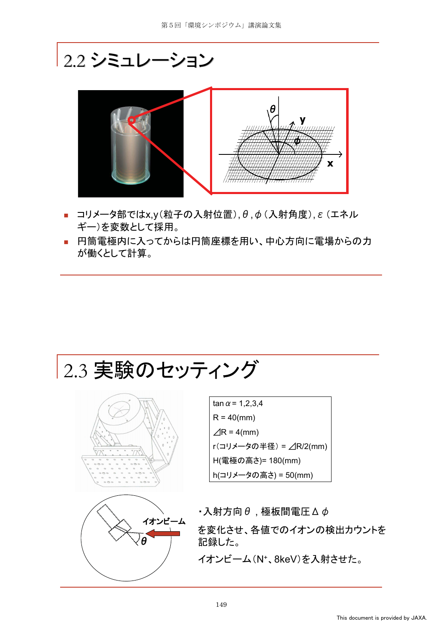#### 2.2 シミュレーション



- $\Box$ コリメータ部ではx,y(粒子の入射位置),  $\theta$ , $\phi$  (入射角度),  $\varepsilon$  (エネル ギー)を変数として採用。
- 円筒電極内に入ってからは円筒座標を用い、中心方向に電場からの力 が働くとして計算。







 $tan \alpha = 1,2,3,4$  $R = 40$ (mm)  $\angle$ R = 4(mm) r(コリメータの半径) = △R/2(mm) H(電極の高さ)= 180(mm) h(コリメータの高さ) = 50(mm)

 $\cdot$ 入射方向 $\theta$ , 極板間電圧 $\Delta \phi$ を変化させ、各値でのイオンの検出カウントを 記録した。 イオンビーム(N<sup>+</sup>、8keV)を入射させた。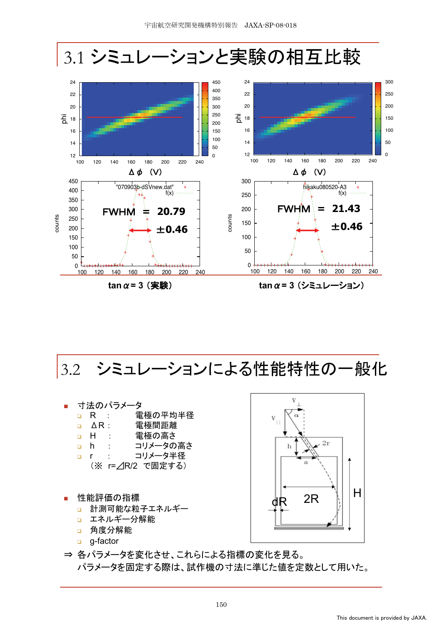

**tan**  $\alpha$  = 3 (実験)  $tan \alpha = 3$  (シミュレーション)

3.2 シミュレーションによる性能特性の一般化

#### 寸法のパラメータ

- **□ R : 電極の平均半径**
- **□ △R: 電極間距離**
- **□ H : 雷極の高さ**
- **□ h : コリメータの高さ**
- p r : コリメータ半径
	- (※ r=△R/2 で固定する)
- 性能評価の指標
	- □ 計測可能な粒子エネルギー
	- □ エネルギー分解能
	- □ 角度分解能
	- g-factor



⇒ 各パラメータを変化させ、これらによる指標の変化を見る。 パラメータを固定する際は、試作機の寸法に準じた値を定数として用いた。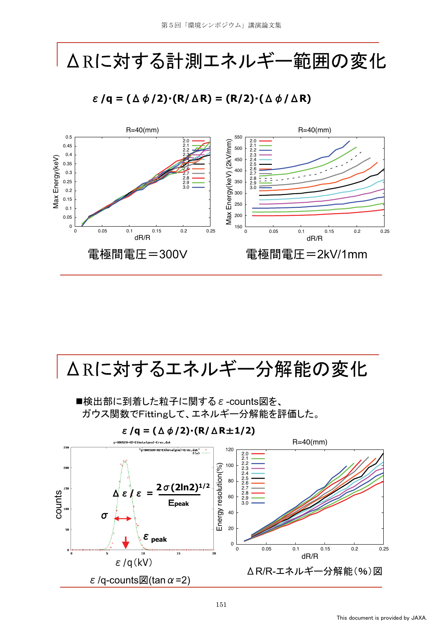## △Rに対する計測エネルギー範囲の変化

 $\epsilon$ /q =  $(\Delta \phi/2) \cdot (R/\Delta R) = (R/2) \cdot (\Delta \phi/\Delta R)$ 



#### △Rに対するエネルギー分解能の変化

■検出部に到着した粒子に関する ε -counts図を、 ガウス関数でFittingして、エネルギー分解能を評価した。

 $\epsilon$ /q =  $(\Delta \phi/2)$ · $(R/\Delta R \pm 1/2)$ 

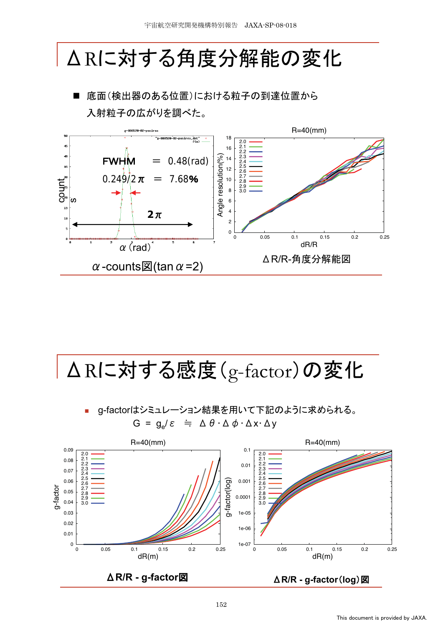# △Rに対する角度分解能の変化

底面(検出器のある位置)における粒子の到達位置から 入射粒子の広がりを調べた。



| △Rに対する感度(g-factor)の変化

g-factorはシミュレーション結果を用いて下記のように求められる。  $G = g_e/\varepsilon \doteq \Delta \theta \cdot \Delta \phi \cdot \Delta x \cdot \Delta y$ 

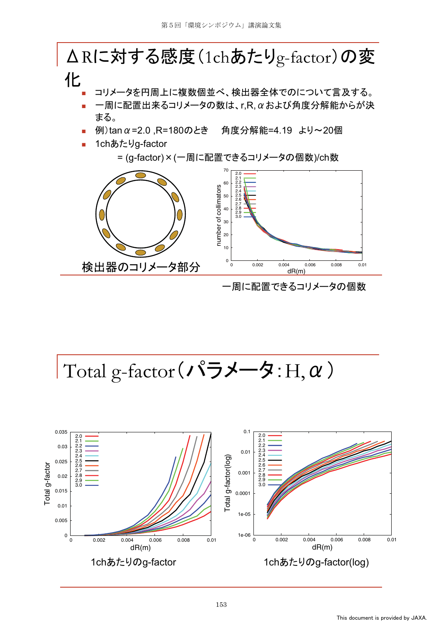#### △Rに対する感度(1chあたりg-factor)の変 化 コリメータを円周上に複数個並べ、検出器全体でのについて言及する。  $-$ 周に配置出来るコリメータの数は、r,R,αおよび角度分解能からが決 まる。 例)tan α=2.0, R=180のとき 角度分解能=4.19 より~20個 1chあたりg-factor = (g-factor)×(一周に配置できるコリメータの個数)/ch数 70 2.0 2.1 2.2 60 number of collimators number of collimators 2.3 2.4 50 2.5 2.6 2.7 40 2.8 2.9 3.0 30 20 10 0 検出器のコリメータ部分 0 0.002 0.004 0.006 0.008 0.01 dR(m) 一周に配置できるコリメータの個数

Total g-factor (パラメータ: H,  $\alpha$ )